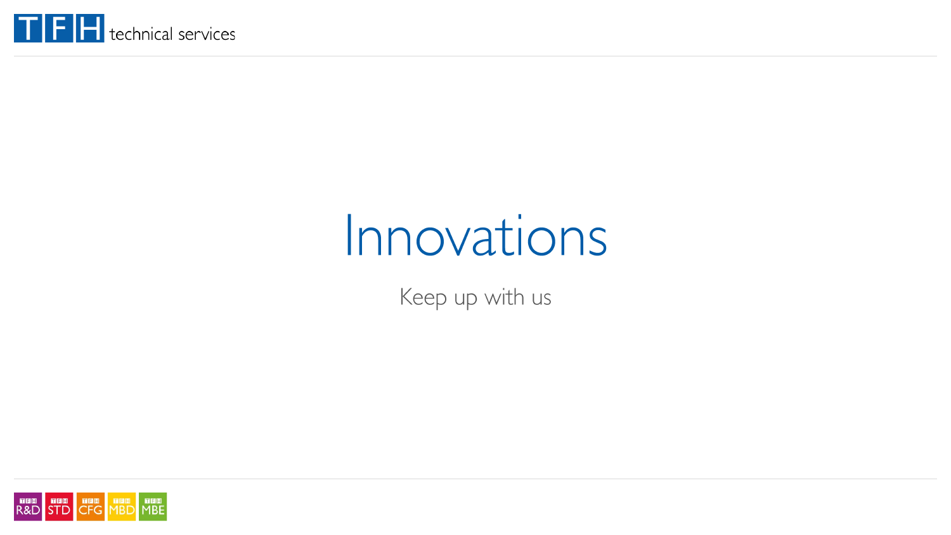

# Innovations

Keep up with us

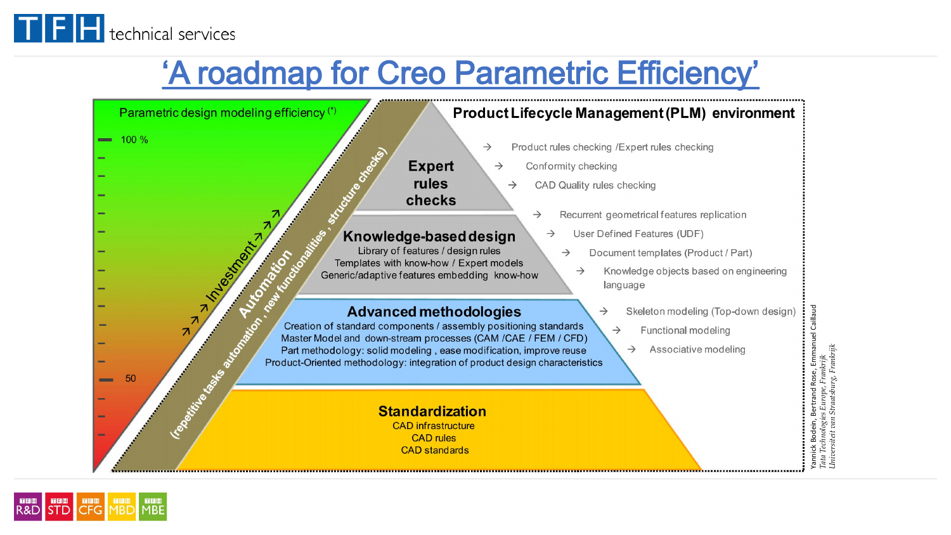

### 'A roadmap for Creo Parametric Efficiency'



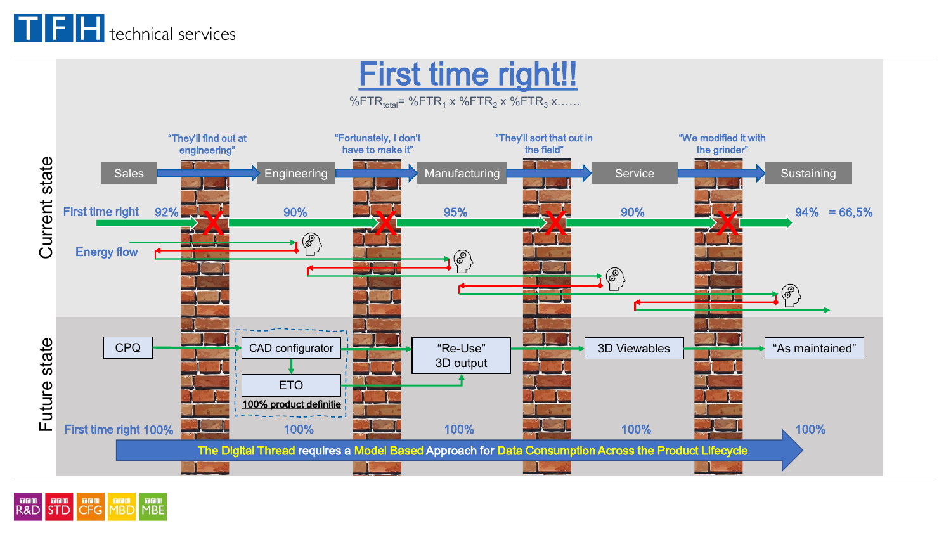

## First time right!!

%FTR $_{total}$ = %FTR<sub>1</sub> x %FTR<sub>2</sub> x %FTR<sub>3</sub> x……



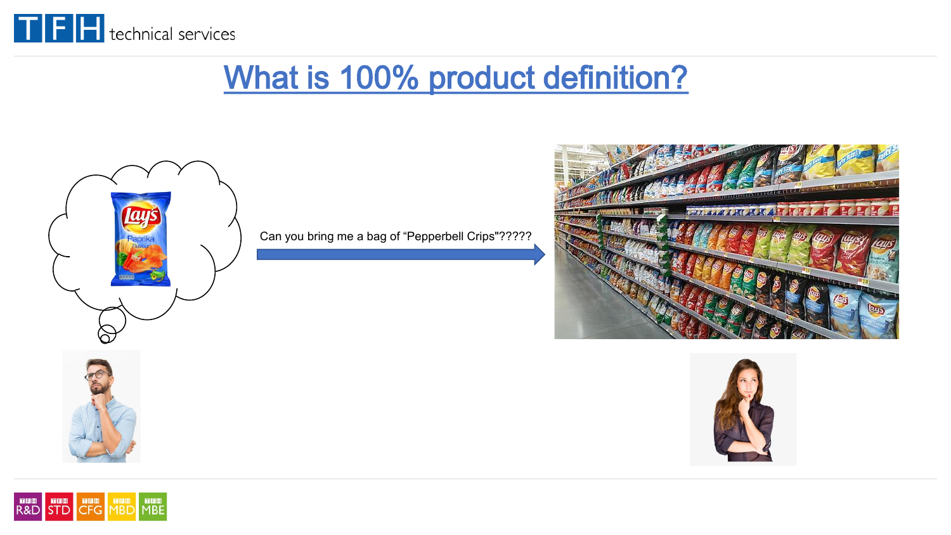

### What is 100% product definition?



Can you bring me a bag of "Pepperbell Crips"?????





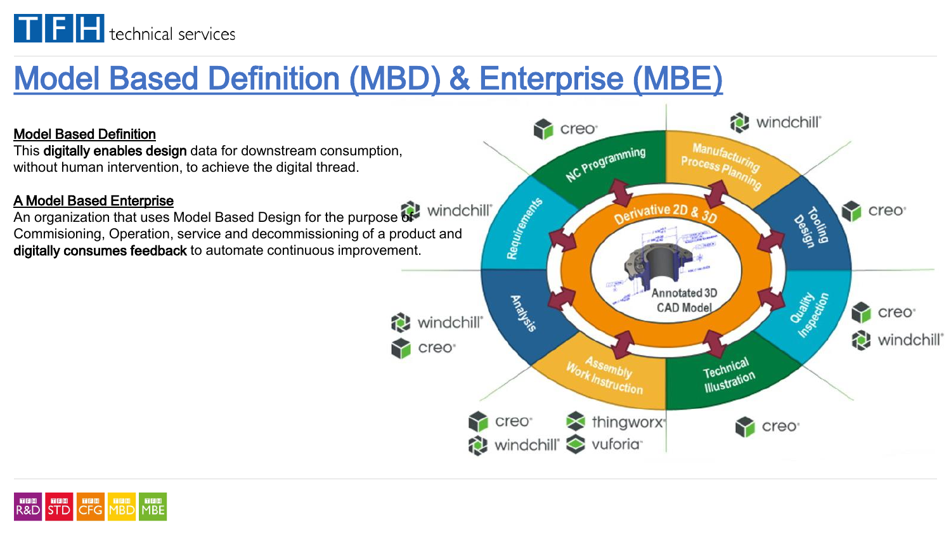

# Model Based Definition (MBD) & Enterprise (MBE)

### Model Based Definition

This digitally enables design data for downstream consumption, without human intervention, to achieve the digital thread.

### A Model Based Enterprise

An organization that uses Model Based Design for the purpose of windchill Commisioning, Operation, service and decommissioning of a product and digitally consumes feedback to automate continuous improvement.



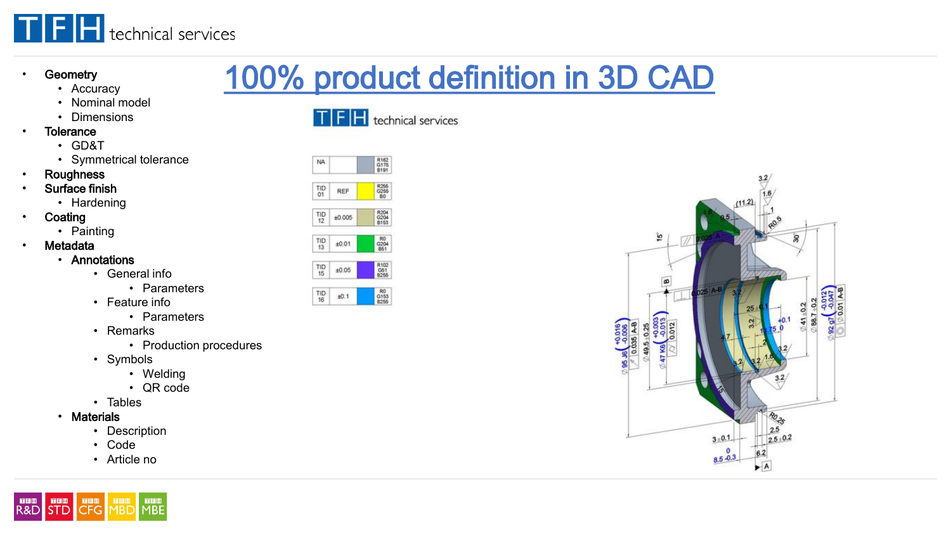

#### **Geometry**

#### • Accuracy

- Nominal model
- Dimensions
- **Tolerance** 
	- GD&T
	- Symmetrical tolerance
- **Roughness**
- Surface finish
	- Hardening
- **Coating** 
	- Painting
- **Metadata** 
	- Annotations
		- General info
			- Parameters
		- Feature info
			- Parameters
		- Remarks
			- Production procedures
		- Symbols
			- Welding
			- QR code
		- Tables
	- Materials

**NORM DEL NORM NORMAN DEL NORMAN DEL NORMAN DEL NORMAN DEL NORMAN DEL NORMAN DEL NORMAN DEL NORMAN DEL NORMAN D** 

- Description
- Code
- Article no



NA

TFH technical services

100% product definition in 3D CAD